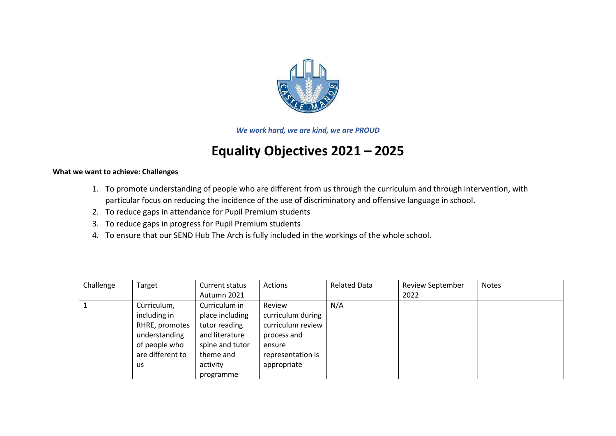

*We work hard, we are kind, we are PROUD*

## **Equality Objectives 2021 – 2025**

## **What we want to achieve: Challenges**

- 1. To promote understanding of people who are different from us through the curriculum and through intervention, with particular focus on reducing the incidence of the use of discriminatory and offensive language in school.
- 2. To reduce gaps in attendance for Pupil Premium students
- 3. To reduce gaps in progress for Pupil Premium students
- 4. To ensure that our SEND Hub The Arch is fully included in the workings of the whole school.

| Challenge | Target           | Current status  | Actions           | <b>Related Data</b> | <b>Review September</b> | <b>Notes</b> |
|-----------|------------------|-----------------|-------------------|---------------------|-------------------------|--------------|
|           |                  | Autumn 2021     |                   |                     | 2022                    |              |
|           | Curriculum,      | Curriculum in   | Review            | N/A                 |                         |              |
|           | including in     | place including | curriculum during |                     |                         |              |
|           | RHRE, promotes   | tutor reading   | curriculum review |                     |                         |              |
|           | understanding    | and literature  | process and       |                     |                         |              |
|           | of people who    | spine and tutor | ensure            |                     |                         |              |
|           | are different to | theme and       | representation is |                     |                         |              |
|           | us               | activity        | appropriate       |                     |                         |              |
|           |                  | programme       |                   |                     |                         |              |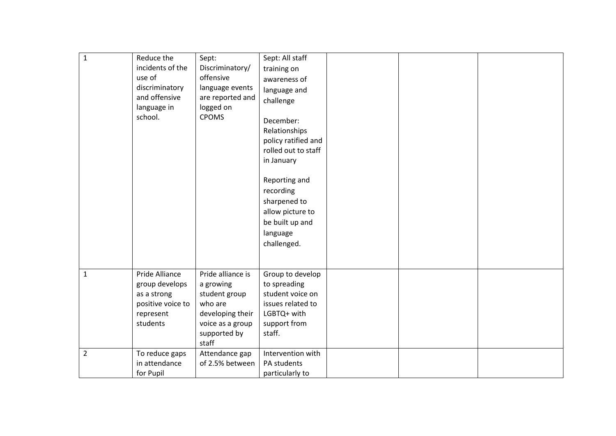| $\mathbf 1$    | Reduce the<br>incidents of the<br>use of<br>discriminatory<br>and offensive<br>language in<br>school. | Sept:<br>Discriminatory/<br>offensive<br>language events<br>are reported and<br>logged on<br><b>CPOMS</b>                   | Sept: All staff<br>training on<br>awareness of<br>language and<br>challenge<br>December:<br>Relationships<br>policy ratified and<br>rolled out to staff<br>in January<br>Reporting and<br>recording<br>sharpened to<br>allow picture to<br>be built up and<br>language<br>challenged. |  |  |
|----------------|-------------------------------------------------------------------------------------------------------|-----------------------------------------------------------------------------------------------------------------------------|---------------------------------------------------------------------------------------------------------------------------------------------------------------------------------------------------------------------------------------------------------------------------------------|--|--|
| $\mathbf{1}$   | Pride Alliance<br>group develops<br>as a strong<br>positive voice to<br>represent<br>students         | Pride alliance is<br>a growing<br>student group<br>who are<br>developing their<br>voice as a group<br>supported by<br>staff | Group to develop<br>to spreading<br>student voice on<br>issues related to<br>LGBTQ+ with<br>support from<br>staff.                                                                                                                                                                    |  |  |
| $\overline{2}$ | To reduce gaps<br>in attendance<br>for Pupil                                                          | Attendance gap<br>of 2.5% between                                                                                           | Intervention with<br>PA students<br>particularly to                                                                                                                                                                                                                                   |  |  |